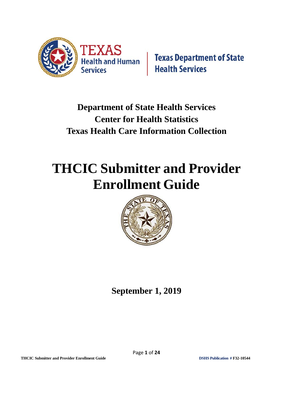

# **Department of State Health Services Center for Health Statistics Texas Health Care Information Collection**

# **THCIC Submitter and Provider Enrollment Guide**



**September 1, 2019**

**THCIC Submitter and Provider Enrollment Guide DSHS Publication # F32-10544**

Page **1** of **24**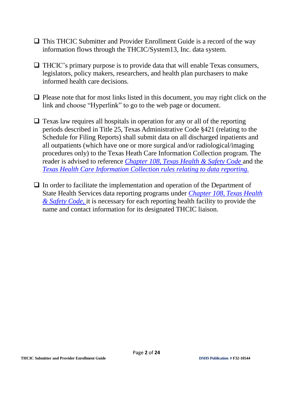- □ This THCIC Submitter and Provider Enrollment Guide is a record of the way information flows through the THCIC/System13, Inc. data system.
- $\Box$  THCIC's primary purpose is to provide data that will enable Texas consumers, legislators, policy makers, researchers, and health plan purchasers to make informed health care decisions.
- ❑ Please note that for most links listed in this document, you may right click on the link and choose "Hyperlink" to go to the web page or document.
- $\Box$  Texas law requires all hospitals in operation for any or all of the reporting periods described in Title 25, Texas Administrative Code §421 (relating to the Schedule for Filing Reports) shall submit data on all discharged inpatients and all outpatients (which have one or more surgical and/or radiological/imaging procedures only) to the Texas Heath Care Information Collection program. The reader is advised to reference *[Chapter 108,](http://www.statutes.legis.state.tx.us/Docs/HS/htm/HS.108.htm) Texas Health & Safety Code* and the *Texas [Health Care Information](https://texreg.sos.state.tx.us/public/readtac$ext.ViewTAC?tac_view=4&ti=25&pt=1&ch=421) Collection rules relating to data reporting.*
- □ In order to facilitate the implementation and operation of the Department of State Health Services data reporting programs under *[Chapter 108,](http://www.statutes.legis.state.tx.us/Docs/HS/htm/HS.108.htm) Texas Health & Safety [Code,](http://www.statutes.legis.state.tx.us/Docs/HS/htm/HS.108.htm)* it is necessary for each reporting health facility to provide the name and contact information for its designated THCIC liaison.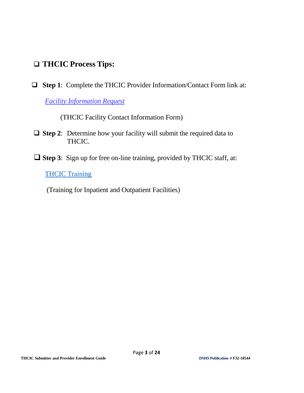## ❑ **THCIC Process Tips:**

❑ **Step 1**: Complete the THCIC Provider Information/Contact Form link at:

*[Facility Information Request](http://www.dshs.texas.gov/thcic/hospitals/FacilityInformationRequest.pdf)*

(THCIC Facility Contact Information Form)

- ❑ **Step 2**: Determine how your facility will submit the required data to THCIC.
- ❑ **Step 3**: Sign up for free on-line training, provided by THCIC staff, at:

#### **[THCIC Training](https://www.dshs.texas.gov/thcic/Training.shtm)**

(Training for Inpatient and Outpatient Facilities)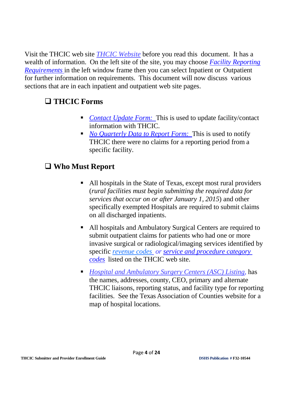Visit the THCIC web site *[THCIC Website](http://www.dshs.texas.gov/thcic/)* before you read this document. It has a wealth of information. On the left site of the site, you may choose *[Facility](http://www.dshs.texas.govs/thcic/) [Reporting](http://www.dshs.state.tx.us/thcic/) [Requirements](http://www.dshs.state.tx.us/thcic/)* in the left window frame then you can select Inpatient or Outpatient for further information on requirements. This document will now discuss various sections that are in each inpatient and outpatient web site pages.

#### ❑ **THCIC Forms**

- *[Contact](http://www.dshs.texas.gov/thcic/hospitals/FacilityInformationRequest.pdf) Update Form:* This is used to update facility/contact information with THCIC.
- *No [Quarterly Data](http://www.dshs.texas.gov/thcic/hospitals/NoDataToReport(2).pdf) to Report Form:* This is used to notify THCIC there were no claims for a reporting period from a specific facility.

## ❑ **Who Must Report**

- All hospitals in the State of Texas, except most rural providers (*rural facilities must begin submitting the required data for services that occur on or after January 1, 2015*) and other specifically exempted Hospitals are required to submit claims on all discharged inpatients.
- All hospitals and Ambulatory Surgical Centers are required to submit outpatient claims for patients who had one or more invasive surgical or radiological/imaging services identified by specific *[revenue codes](http://www.dshs.texas.gov/THCIC/OutpatientFacilities/RevenueCodes.shtm) or service and [procedure category](http://www.dshs.texas.gov/thcic/OutpatientFacilities/2015-Required-CCS-Procedure-codes-20140905-final.xls) [codes](http://www.dshs.texas.gov/thcic/OutpatientFacilities/2015-Required-CCS-Procedure-codes-20140905-final.xls)* listed on the THCIC web site.
- *Hospital [and Ambulatory Surgery Centers \(ASC\)](https://www.dshs.texas.gov/thcic/OutpatientFacilities/OutpatientReportingRequirements.shtm) [Listing](http://www.dshs.state.tx.us/thcic/hospitals/FacilitiesList.xls)*, has the names, addresses, county, CEO, primary and alternate THCIC liaisons, reporting status, and facility type for reporting facilities. See the Texas Association of Counties website for a map of hospital locations.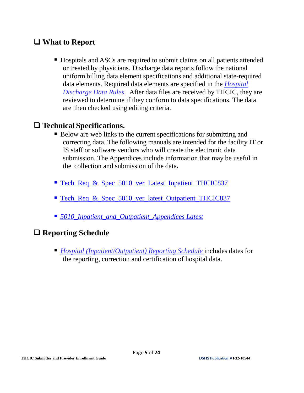#### ❑ **What to Report**

■ Hospitals and ASCs are required to submit claims on all patients attended or treated by physicians. Discharge data reports follow the national uniform billing data element specifications and additional state-required data elements. Required data elements are specified in the *[Hospital](http://texreg.sos.state.tx.us/public/readtac$ext.TacPage?sl=R&app=9&p_dir=&p_rloc=&p_tloc=&p_ploc=&pg=1&p_tac=&ti=25&pt=1&ch=421&rl=2) [Discharge](http://info.sos.state.tx.us/pls/pub/readtac%24ext.ViewTAC?tac_view=4&ti=25&pt=1&ch=421) Data [Rules](http://info.sos.state.tx.us/pls/pub/readtac%24ext.ViewTAC?tac_view=4&ti=25&pt=1&ch=421)*. After data files are received by THCIC, they are reviewed to determine if they conform to data specifications. The data are then checked using editing criteria.

#### ❑ **Technical Specifications.**

- Below are web links to the current specifications for submitting and correcting data. The following manuals are intended for the facility IT or IS staff or software vendors who will create the electronic data submission. The Appendices include information that may be useful in the collection and submission of the data**.**
- [Tech\\_Req\\_&\\_Spec\\_5010\\_ver\\_Latest\\_Inpatient\\_THCIC837](https://www.dshs.texas.gov/thcic/hospitals/HospitalReportingRequirements.shtm)
- [Tech\\_Req\\_&\\_Spec\\_5010\\_ver\\_latest\\_Outpatient\\_THCIC837](https://www.dshs.texas.gov/thcic/OutpatientFacilities/OutpatientReportingRequirements.shtm)
- *[5010\\_Inpatient\\_and\\_Outpatient\\_Appendices](http://www.dshs.texas.gov/thcic/hospitals/HospitalReportingRequirements.shtm) Latest*

#### ❑ **Reporting Schedule**

■ *[Hospital](http://www.dshs.state.tx.us/THCIC/datareportingschedule.shtm) [\(Inpatient/Outpatient\)](http://www.dshs.texas.gov/THCIC/datareportingschedule.shtm) [Reporting](http://www.dshs.state.tx.us/THCIC/datareportingschedule.shtm) Schedule* includes dates for the reporting, correction and certification of hospital data.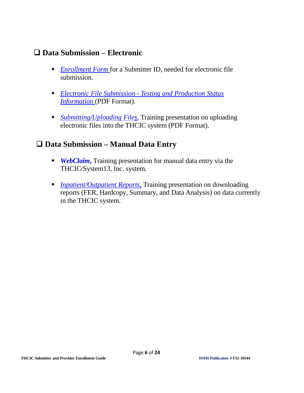#### ❑ **Data Submission – Electronic**

- *[Enrollment](https://thcic.system13.com/submitter/enrollments/new) Form* for a Submitter ID, needed for electronic file submission.
- *Electronic File [Submission](https://www.dshs.texas.gov/thcic/hospitals/HospitalReportingRequirements.shtm) Testing and Production Status [Information](http://www.dshs.texas.gov/thcic/hospitals/FacilityInformationRequest.pdf)* (PDF Format).
- *[Submitting/Uploading](http://www.dshs.texas.gov/thcic/hospitals/Testing-Process.pdf) Files*, Training presentation on uploading electronic files into the THCIC system (PDF Format).

#### ❑ **Data Submission – Manual Data Entry**

- *WebClaim*, Training presentation for manual data entry via the THCIC/System13, Inc. system.
- *Inpatient/Outpatient Reports*, Training presentation on downloading reports (FER, Hardcopy, Summary, and Data Analysis) on data currently in the THCIC system.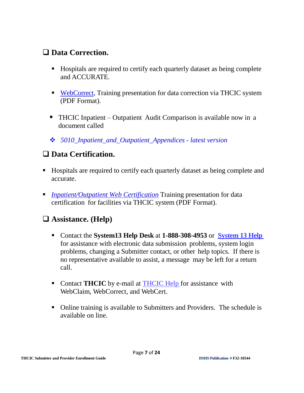### ❑ **Data Correction.**

- Hospitals are required to certify each quarterly dataset as being complete and ACCURATE.
- [WebCorrect,](http://www.dshs.state.tx.us/thcic/hospitals/InpatientWebCorrect.pdf) Training presentation for data correction via THCIC system (PDF Format).
- THCIC Inpatient Outpatient Audit Comparison is available now in a document called
- ❖ *[5010\\_Inpatient\\_and\\_Outpatient\\_Appendices](http://www.dshs.state.tx.us/thcic/hospitals/5010InpatientandOutpatientAppendicesVer3.pdf) - latest version*

## ❑ **Data Certification.**

- Hospitals are required to certify each quarterly dataset as being complete and accurate.
- *[Inpatient/Outpatient Web Certification](http://www.dshs.texas.gov/thcic/Training.shtm)* Training presentation for data certification for facilities via THCIC system (PDF Format).

## ❑ **Assistance. (Help)**

- Contact the **System13 Help Desk** at **1-888-308-4953** or **[System 13 Help](mailto:thcichelp@system13.com)** for assistance with electronic data submission problems, system login problems, changing a Submitter contact, or other help topics. If there is no representative available to assist, a message may be left for a return call.
- Contact **THCIC** by e-mail at **THCIC** Help for assistance with WebClaim, WebCorrect, and WebCert.
- Online training is available to Submitters and Providers. The schedule is available on line.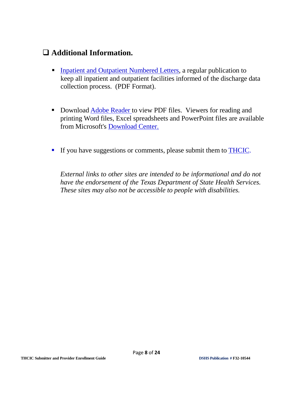#### ❑ **Additional Information.**

- **Example 1** [Inpatient](http://www.dshs.state.tx.us/thcic/Inpatient-and-Outpatient-Numbered-Letters/) [and Outpatient Numbered](http://www.dshs.texas.gov/thcic/Inpatient-and-Outpatient-Numbered-Letters/) Letters, a regular publication to keep all inpatient and outpatient facilities informed of the discharge data collection process. (PDF Format).
- **Download [Adobe Reader](http://www.dshs.texas.gov/viewing.shtm) to view PDF files. Viewers for reading and** printing Word files, Excel spreadsheets and PowerPoint files are available from Microsoft's [Download](http://www.dshs.texas.gov/viewing.shtm) Center.
- **If you have suggestions or comments, please submit them to [THCIC.](mailto:thcichelp@dshs.state.tx.us)**

*External links to other sites are intended to be informational and do not have the endorsement of the Texas Department of State Health Services. These sites may also not be accessible to people with disabilities.*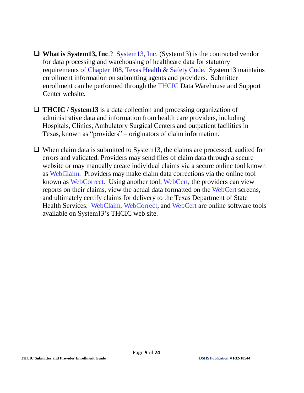- ❑ **What is System13, Inc**.? System13, Inc. (System13) is the contracted vendor for data processing and warehousing of healthcare data for statutory requirements of [Chapter 108,](http://www.statutes.legis.state.tx.us/Docs/HS/htm/HS.108.htm) Texas Health & Safety Code. System13 maintains enrollment information on submitting agents and providers. Submitter enrollment can be performed through the THCIC Data Warehouse and Support Center website.
- ❑ **THCIC / System13** is a data collection and processing organization of administrative data and information from health care providers, including Hospitals, Clinics, Ambulatory Surgical Centers and outpatient facilities in Texas, known as "providers" – originators of claim information.
- ❑ When claim data is submitted to System13, the claims are processed, audited for errors and validated. Providers may send files of claim data through a secure website or may manually create individual claims via a secure online tool known as WebClaim. Providers may make claim data corrections via the online tool known as WebCorrect. Using another tool, WebCert, the providers can view reports on their claims, view the actual data formatted on the WebCert screens, and ultimately certify claims for delivery to the Texas Department of State Health Services. WebClaim, WebCorrect, and WebCert are online software tools available on System13's THCIC web site.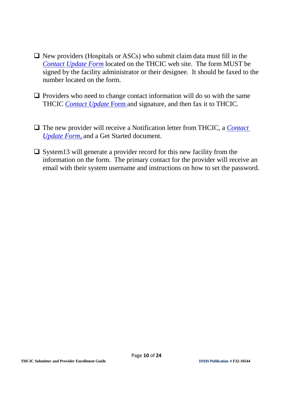- $\Box$  New providers (Hospitals or ASCs) who submit claim data must fill in the *[Contact](http://www.dshs.texas.gov/thcic/hospitals/FacilityInformationRequest.pdf) Update Form* located on the THCIC web site. The form MUST be signed by the facility administrator or their designee. It should be faxed to the number located on the form.
- $\Box$  Providers who need to change contact information will do so with the same THCIC *[Contact](http://www.dshs.texas.gov/thcic/hospitals/FacilityInformationRequest.pdf) Update* Form and signature, and then fax it to THCIC.
- ❑ The new provider will receive a Notification letter from THCIC, a *[Contact](http://www.dshs.texas.gov/thcic/hospitals/FacilityInformationRequest.pdf) [Update](http://www.dshs.state.tx.us/thcic/hospitals/FacilityInformationRequest.pdf) Form,* and a Get Started document.
- ❑ System13 will generate a provider record for this new facility from the information on the form. The primary contact for the provider will receive an email with their system username and instructions on how to set the password.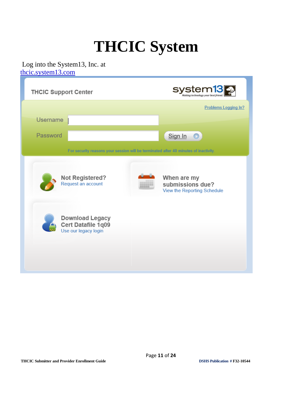# **THCIC System**

#### Log into the System13, Inc. at [thcic.system13.com](https://thcic.system13.com/)

| <b>THCIC Support Center</b>                                                                                          | stem1<br>SV<br>Making technology your best                     |
|----------------------------------------------------------------------------------------------------------------------|----------------------------------------------------------------|
|                                                                                                                      | <b>Problems Logging In?</b>                                    |
| <b>Username</b><br>Password                                                                                          |                                                                |
| For security reasons your session will be terminated after 40 minutes of inactivity.                                 | Sign In                                                        |
| <b>Not Registered?</b><br>Request an account<br><b>Download Legacy</b><br>Cert Datafile 1q09<br>Use our legacy login | When are my<br>submissions due?<br>View the Reporting Schedule |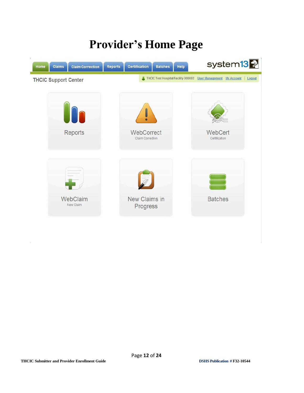# **Provider's Home Page**

| Claims<br><b>Claim Correction</b><br>Home | Help<br><b>Reports</b><br><b>Certification</b><br><b>Batches</b> | system <sub>13</sub>                                                     |
|-------------------------------------------|------------------------------------------------------------------|--------------------------------------------------------------------------|
| <b>THCIC Support Center</b>               |                                                                  | THCIC Test Hospital/Facility 000002 User Management My Account<br>Logout |
|                                           |                                                                  |                                                                          |
|                                           |                                                                  |                                                                          |
| H<br>r                                    |                                                                  |                                                                          |
| Reports                                   | WebCorrect<br>Claim Correction                                   | WebCert<br>Certification                                                 |
|                                           |                                                                  |                                                                          |
|                                           |                                                                  |                                                                          |
|                                           |                                                                  |                                                                          |
|                                           |                                                                  |                                                                          |
| WebClaim<br>New Claim                     | New Claims in<br>Progress                                        | <b>Batches</b>                                                           |
|                                           |                                                                  |                                                                          |
|                                           |                                                                  |                                                                          |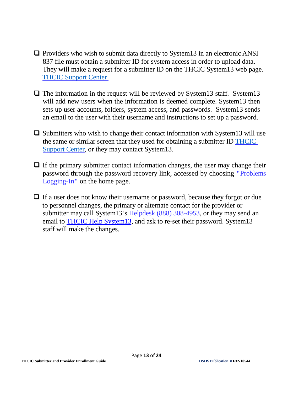- $\Box$  Providers who wish to submit data directly to System 13 in an electronic ANSI 837 file must obtain a submitter ID for system access in order to upload data. They will make a request for a submitter ID on the THCIC System13 web page. [THCIC Support Center](https://thcic.system13.com/sign_in)
- $\Box$  The information in the request will be reviewed by System13 staff. System13 will add new users when the information is deemed complete. System13 then sets up user accounts, folders, system access, and passwords. System13 sends an email to the user with their username and instructions to set up a password.
- $\Box$  Submitters who wish to change their contact information with System13 will use the same or similar screen that they used for obtaining a submitter ID [THCIC](https://thcic.system13.com/sign_in)  [Support](https://thcic.system13.com/sign_in) Center, or they may contact System13.
- $\Box$  If the primary submitter contact information changes, the user may change their password through the password recovery link, accessed by choosing **"**Problems Logging-In**"** on the home page.
- □ If a user does not know their username or password, because they forgot or due to personnel changes, the primary or alternate contact for the provider or submitter may call System13's Helpdesk (888) 308-4953, or they may send an email to [THCIC Help System13,](mailto:thcichelp@system13.com) and ask to re-set their password. System13 staff will make the changes.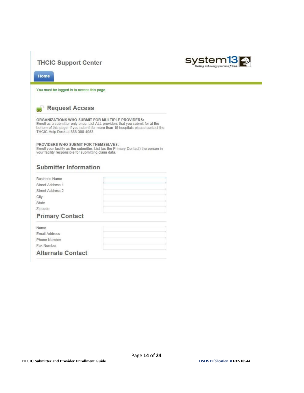#### **THCIC Support Center**



Home

You must be logged in to access this page.



ORGANIZATIONS WHO SUBMIT FOR MULTIPLE PROVIDERS:<br>Enroll as a submitter only once. List ALL providers that you submit for at the<br>bottom of this page. If you submit for more than 15 hospitals please contact the<br>THCIC Help De

PROVIDERS WHO SUBMIT FOR THEMSELVES: Enroll your facility as the submitter. List (as the Primary Contact) the person in<br>your facility responsible for submitting claim data.

#### **Submitter Information**

| <b>Business Name</b>   |  |
|------------------------|--|
| Street Address 1       |  |
| Street Address 2       |  |
| City                   |  |
| State                  |  |
| Zipcode                |  |
| <b>Primary Contact</b> |  |

| Name                     |  |
|--------------------------|--|
| <b>Email Address</b>     |  |
| Phone Number             |  |
| Fax Number               |  |
| <b>Alternate Contact</b> |  |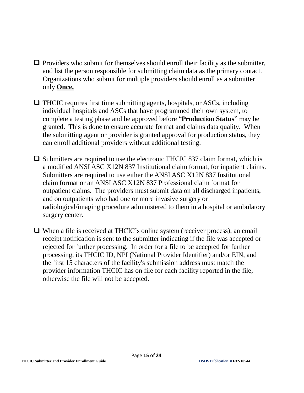- $\Box$  Providers who submit for themselves should enroll their facility as the submitter, and list the person responsible for submitting claim data as the primary contact. Organizations who submit for multiple providers should enroll as a submitter only **Once.**
- ❑ THCIC requires first time submitting agents, hospitals, or ASCs, including individual hospitals and ASCs that have programmed their own system, to complete a testing phase and be approved before "**Production Status**" may be granted. This is done to ensure accurate format and claims data quality. When the submitting agent or provider is granted approval for production status, they can enroll additional providers without additional testing.
- $\Box$  Submitters are required to use the electronic THCIC 837 claim format, which is a modified ANSI ASC X12N 837 Institutional claim format, for inpatient claims. Submitters are required to use either the ANSI ASC X12N 837 Institutional claim format or an ANSI ASC X12N 837 Professional claim format for outpatient claims. The providers must submit data on all discharged inpatients, and on outpatients who had one or more invasive surgery or radiological/imaging procedure administered to them in a hospital or ambulatory surgery center.
- ❑ When a file is received at THCIC's online system (receiver process), an email receipt notification is sent to the submitter indicating if the file was accepted or rejected for further processing. In order for a file to be accepted for further processing, its THCIC ID, NPI (National Provider Identifier) and/or EIN, and the first 15 characters of the facility's submission address must match the provider information THCIC has on file for each facility reported in the file, otherwise the file will not be accepted.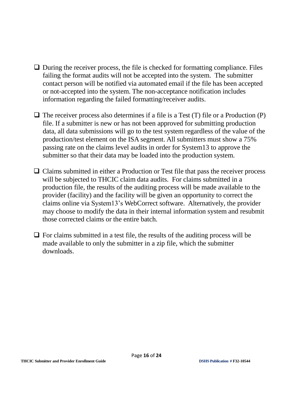- $\Box$  During the receiver process, the file is checked for formatting compliance. Files failing the format audits will not be accepted into the system. The submitter contact person will be notified via automated email if the file has been accepted or not-accepted into the system. The non-acceptance notification includes information regarding the failed formatting/receiver audits.
- $\Box$  The receiver process also determines if a file is a Test (T) file or a Production (P) file. If a submitter is new or has not been approved for submitting production data, all data submissions will go to the test system regardless of the value of the production/test element on the ISA segment. All submitters must show a 75% passing rate on the claims level audits in order for System13 to approve the submitter so that their data may be loaded into the production system.
- □ Claims submitted in either a Production or Test file that pass the receiver process will be subjected to THCIC claim data audits. For claims submitted in a production file, the results of the auditing process will be made available to the provider (facility) and the facility will be given an opportunity to correct the claims online via System13's WebCorrect software. Alternatively, the provider may choose to modify the data in their internal information system and resubmit those corrected claims or the entire batch.
- $\Box$  For claims submitted in a test file, the results of the auditing process will be made available to only the submitter in a zip file, which the submitter downloads.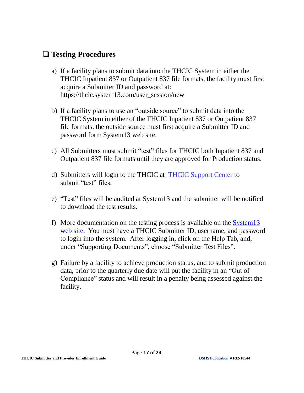#### ❑ **Testing Procedures**

- a) If a facility plans to submit data into the THCIC System in either the THCIC Inpatient 837 or Outpatient 837 file formats, the facility must first acquire a Submitter ID and password at: [https://thcic.system13.com/user\\_session/new](https://thcic.system13.com/user_session/new)
- b) If a facility plans to use an "outside source" to submit data into the THCIC System in either of the THCIC Inpatient 837 or Outpatient 837 file formats, the outside source must first acquire a Submitter ID and password form System13 web site.
- c) All Submitters must submit "test" files for THCIC both Inpatient 837 and Outpatient 837 file formats until they are approved for Production status.
- d) Submitters will login to the THCIC at [THCIC Support Center](https://thcic.system13.com/user_session/new) to submit "test" files.
- e) "Test" files will be audited at System13 and the submitter will be notified to download the test results.
- f) More documentation on the testing process is available on the [System13](https://thcic.system13.com/user_session/new) [web](https://thcic.system13.com/user_session/new) site. You must have a THCIC Submitter ID, username, and password to login into the system. After logging in, click on the Help Tab, and, under "Supporting Documents", choose "Submitter Test Files".
- g) Failure by a facility to achieve production status, and to submit production data, prior to the quarterly due date will put the facility in an "Out of Compliance" status and will result in a penalty being assessed against the facility.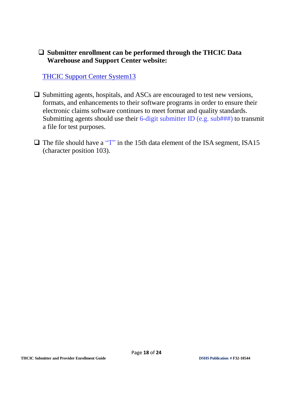#### ❑ **Submitter enrollment can be performed through the THCIC Data Warehouse and Support Center website:**

[THCIC Support Center System13](https://thcic.system13.com/enrollments/new)

- ❑ Submitting agents, hospitals, and ASCs are encouraged to test new versions, formats, and enhancements to their software programs in order to ensure their electronic claims software continues to meet format and quality standards. Submitting agents should use their  $6$ -digit submitter ID (e.g. sub###) to transmit a file for test purposes.
- $\Box$  The file should have a "T" in the 15th data element of the ISA segment, ISA15 (character position 103).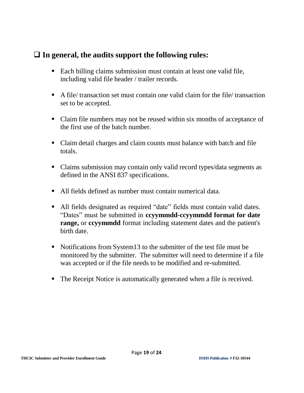#### ❑ **In general, the audits support the following rules:**

- Each billing claims submission must contain at least one valid file, including valid file header / trailer records.
- A file/ transaction set must contain one valid claim for the file/ transaction set to be accepted.
- Claim file numbers may not be reused within six months of acceptance of the first use of the batch number.
- Claim detail charges and claim counts must balance with batch and file totals.
- Claims submission may contain only valid record types/data segments as defined in the ANSI 837 specifications.
- All fields defined as number must contain numerical data.
- All fields designated as required "date" fields must contain valid dates. "Dates" must be submitted in **ccyymmdd-ccyymmdd format for date range,** or **ccyymmdd** format including statement dates and the patient's birth date.
- Notifications from System13 to the submitter of the test file must be monitored by the submitter. The submitter will need to determine if a file was accepted or if the file needs to be modified and re-submitted.
- The Receipt Notice is automatically generated when a file is received.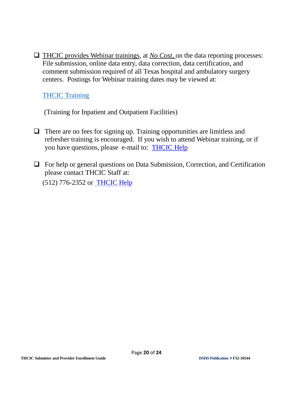❑ THCIC provides Webinar trainings, at *No Cost,* on the data reporting processes: File submission, online data entry, data correction, data certification, and comment submission required of all Texas hospital and ambulatory surgery centers. Postings for Webinar training dates may be viewed at:

#### **[THCIC Training](https://www.dshs.texas.gov/thcic/Training.shtm)**

(Training for Inpatient and Outpatient Facilities)

- $\Box$  There are no fees for signing up. Training opportunities are limitless and refresher training is encouraged. If you wish to attend Webinar training, or if you have questions, please e-mail to: [THCIC Help](mailto:thcichelp@dshs.texas.gov?subject=mailto:thcichelp@dshs.texas.gov)
- ❑ For help or general questions on Data Submission, Correction, and Certification please contact THCIC Staff at:

(512) 776-2352 or [THCIC Help](mailto:thcichelp@dshs.texas.gov)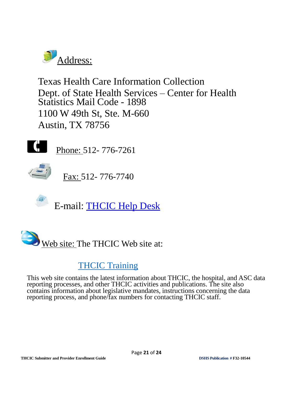

Texas Health Care Information Collection Dept. of State Health Services – Center for Health Statistics Mail Code - 1898 1100 W 49th St, Ste. M-660 Austin, TX 78756



Phone: 512- 776-7261



Fax: 512- 776-7740





## [THCIC Training](https://www.dshs.texas.gov/thcic/Training.shtm)

This web site contains the latest information about THCIC, the hospital, and ASC data reporting processes, and other THCIC activities and publications. The site also contains information about legislative mandates, instructions concerning the data reporting process, and phone/fax numbers for contacting THCIC staff.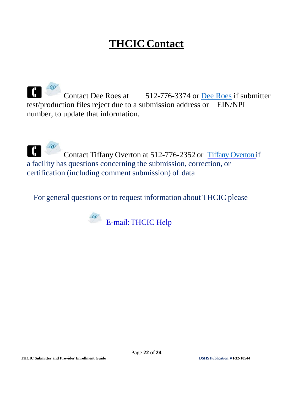# **THCIC Contact**

 $\blacksquare$ Contact [Dee Roes](mailto:Dee.Roes@dshs.texas.gov) at 512-776-3374 or Dee Roes if submitter test/production files reject due to a submission address or EIN/NPI number, to update that information.

Contact [Tiffany Overton](mailto:Tiffany.Overton@dshs.texas.gov) at 512-776-2352 or Tiffany Overton if a facility has questions concerning the submission, correction, or certification (including comment submission) of data

For general questions or to request information about THCIC please

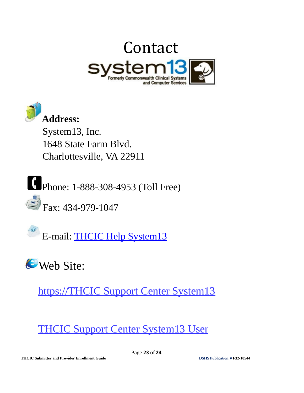



System13, Inc. 1648 State Farm Blvd. Charlottesville, VA 22911

Phone: 1-888-308-4953 (Toll Free)

 $\leftarrow$  Fax: 434-979-1047

E-mail: [THCIC Help System13](mailto:THCIChelp@system13.com)

**C**Web Site:

[https://THCIC Support Center System13](https://thcic.system13.com/enrollments/new)

[THCIC Support Center System13 User](https://thcic.system13.com/user_session/new)